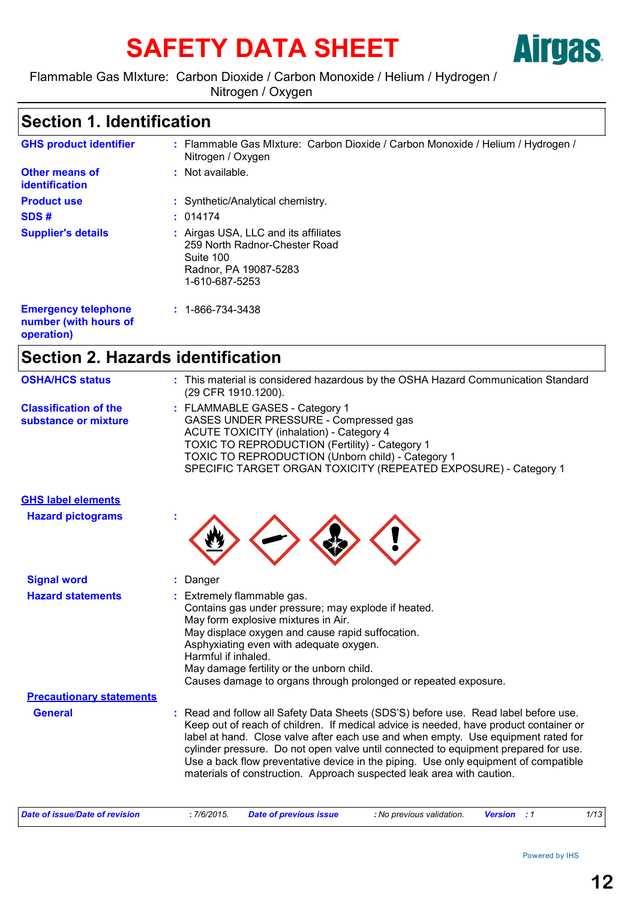# SAFETY DATA SHEET **AITGES**



Flammable Gas MIxture: Carbon Dioxide / Carbon Monoxide / Helium / Hydrogen / Nitrogen / Oxygen

## **Section 1. Identification**

| <b>GHS product identifier</b>                                     | : Flammable Gas Mixture: Carbon Dioxide / Carbon Monoxide / Helium / Hydrogen /<br>Nitrogen / Oxygen                          |
|-------------------------------------------------------------------|-------------------------------------------------------------------------------------------------------------------------------|
| <b>Other means of</b><br>identification                           | : Not available.                                                                                                              |
| <b>Product use</b>                                                | : Synthetic/Analytical chemistry.                                                                                             |
| SDS#                                                              | : 014174                                                                                                                      |
| <b>Supplier's details</b>                                         | : Airgas USA, LLC and its affiliates<br>259 North Radnor-Chester Road<br>Suite 100<br>Radnor, PA 19087-5283<br>1-610-687-5253 |
| <b>Emergency telephone</b><br>number (with hours of<br>operation) | $: 1 - 866 - 734 - 3438$                                                                                                      |

## **Section 2. Hazards identification**

| <b>OSHA/HCS status</b>                               | : This material is considered hazardous by the OSHA Hazard Communication Standard<br>(29 CFR 1910.1200).                                                                                                                                                                                                                                                                                                                                                                                                                 |  |  |
|------------------------------------------------------|--------------------------------------------------------------------------------------------------------------------------------------------------------------------------------------------------------------------------------------------------------------------------------------------------------------------------------------------------------------------------------------------------------------------------------------------------------------------------------------------------------------------------|--|--|
| <b>Classification of the</b><br>substance or mixture | : FLAMMABLE GASES - Category 1<br>GASES UNDER PRESSURE - Compressed gas<br><b>ACUTE TOXICITY (inhalation) - Category 4</b><br>TOXIC TO REPRODUCTION (Fertility) - Category 1<br>TOXIC TO REPRODUCTION (Unborn child) - Category 1<br>SPECIFIC TARGET ORGAN TOXICITY (REPEATED EXPOSURE) - Category 1                                                                                                                                                                                                                     |  |  |
| <b>GHS label elements</b>                            |                                                                                                                                                                                                                                                                                                                                                                                                                                                                                                                          |  |  |
| <b>Hazard pictograms</b>                             |                                                                                                                                                                                                                                                                                                                                                                                                                                                                                                                          |  |  |
| <b>Signal word</b>                                   | Danger                                                                                                                                                                                                                                                                                                                                                                                                                                                                                                                   |  |  |
| <b>Hazard statements</b>                             | : Extremely flammable gas.<br>Contains gas under pressure; may explode if heated.<br>May form explosive mixtures in Air.<br>May displace oxygen and cause rapid suffocation.<br>Asphyxiating even with adequate oxygen.<br>Harmful if inhaled.<br>May damage fertility or the unborn child.<br>Causes damage to organs through prolonged or repeated exposure.                                                                                                                                                           |  |  |
| <b>Precautionary statements</b>                      |                                                                                                                                                                                                                                                                                                                                                                                                                                                                                                                          |  |  |
| <b>General</b>                                       | : Read and follow all Safety Data Sheets (SDS'S) before use. Read label before use.<br>Keep out of reach of children. If medical advice is needed, have product container or<br>label at hand. Close valve after each use and when empty. Use equipment rated for<br>cylinder pressure. Do not open valve until connected to equipment prepared for use.<br>Use a back flow preventative device in the piping. Use only equipment of compatible<br>materials of construction. Approach suspected leak area with caution. |  |  |
|                                                      |                                                                                                                                                                                                                                                                                                                                                                                                                                                                                                                          |  |  |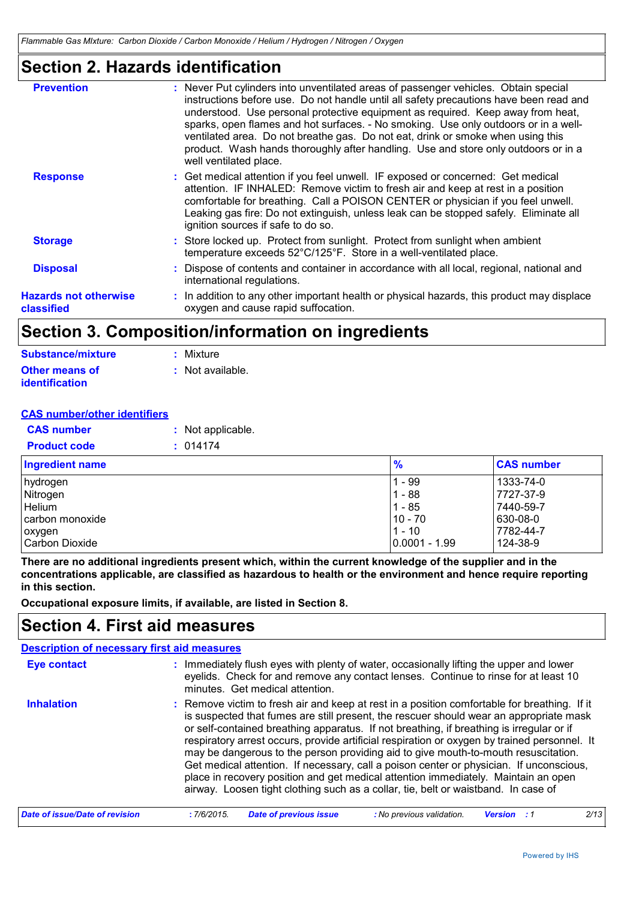## **Section 2. Hazards identification**

|                                            | product. Wash hands thoroughly after handling. Use and store only outdoors or in a<br>well ventilated place.                                                                                                                                                                                                                                                                            |
|--------------------------------------------|-----------------------------------------------------------------------------------------------------------------------------------------------------------------------------------------------------------------------------------------------------------------------------------------------------------------------------------------------------------------------------------------|
| <b>Response</b>                            | : Get medical attention if you feel unwell. IF exposed or concerned: Get medical<br>attention. IF INHALED: Remove victim to fresh air and keep at rest in a position<br>comfortable for breathing. Call a POISON CENTER or physician if you feel unwell.<br>Leaking gas fire: Do not extinguish, unless leak can be stopped safely. Eliminate all<br>ignition sources if safe to do so. |
| <b>Storage</b>                             | : Store locked up. Protect from sunlight. Protect from sunlight when ambient<br>temperature exceeds 52°C/125°F. Store in a well-ventilated place.                                                                                                                                                                                                                                       |
| <b>Disposal</b>                            | : Dispose of contents and container in accordance with all local, regional, national and<br>international regulations.                                                                                                                                                                                                                                                                  |
| <b>Hazards not otherwise</b><br>classified | : In addition to any other important health or physical hazards, this product may displace<br>oxygen and cause rapid suffocation.                                                                                                                                                                                                                                                       |

## **Section 3. Composition/information on ingredients**

| Substance/mixture     | : Mixture        |
|-----------------------|------------------|
| <b>Other means of</b> | : Not available. |
| identification        |                  |

### **CAS number/other identifiers**

| <b>CAS number</b>   | : Not applicable. |
|---------------------|-------------------|
| <b>Product code</b> | : 014174          |

| <b>Ingredient name</b> | $\frac{9}{6}$ | <b>CAS number</b> |
|------------------------|---------------|-------------------|
| hydrogen               | - 99          | 1333-74-0         |
| Nitrogen               | $1 - 88$      | 7727-37-9         |
| Helium                 | $1 - 85$      | 7440-59-7         |
| carbon monoxide        | $10 - 70$     | 630-08-0          |
| oxygen                 | $1 - 10$      | 7782-44-7         |
| Carbon Dioxide         | 0.0001 - 1.99 | 124-38-9          |

**There are no additional ingredients present which, within the current knowledge of the supplier and in the concentrations applicable, are classified as hazardous to health or the environment and hence require reporting in this section.**

**Occupational exposure limits, if available, are listed in Section 8.**

## **Section 4. First aid measures**

| <b>Description of necessary first aid measures</b> |                                                                                                                                                                                                                                                                                                                                                                                                                                                                                                                                                                                                                                                                                                                                                 |
|----------------------------------------------------|-------------------------------------------------------------------------------------------------------------------------------------------------------------------------------------------------------------------------------------------------------------------------------------------------------------------------------------------------------------------------------------------------------------------------------------------------------------------------------------------------------------------------------------------------------------------------------------------------------------------------------------------------------------------------------------------------------------------------------------------------|
| Eye contact                                        | : Immediately flush eyes with plenty of water, occasionally lifting the upper and lower<br>eyelids. Check for and remove any contact lenses. Continue to rinse for at least 10<br>minutes. Get medical attention.                                                                                                                                                                                                                                                                                                                                                                                                                                                                                                                               |
| <b>Inhalation</b>                                  | : Remove victim to fresh air and keep at rest in a position comfortable for breathing. If it<br>is suspected that fumes are still present, the rescuer should wear an appropriate mask<br>or self-contained breathing apparatus. If not breathing, if breathing is irregular or if<br>respiratory arrest occurs, provide artificial respiration or oxygen by trained personnel. It<br>may be dangerous to the person providing aid to give mouth-to-mouth resuscitation.<br>Get medical attention. If necessary, call a poison center or physician. If unconscious,<br>place in recovery position and get medical attention immediately. Maintain an open<br>airway. Loosen tight clothing such as a collar, tie, belt or waistband. In case of |
| Date of issue/Date of revision                     | 2/13<br><b>Date of previous issue</b><br>:7/6/2015<br>: No previous validation.<br><b>Version</b>                                                                                                                                                                                                                                                                                                                                                                                                                                                                                                                                                                                                                                               |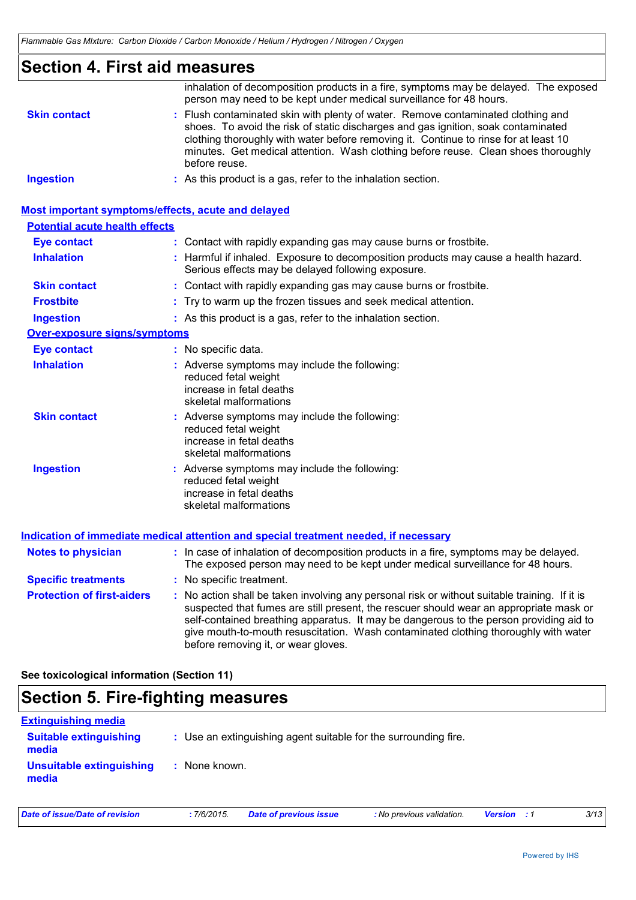## **Section 4. First aid measures**

|                                                    | inhalation of decomposition products in a fire, symptoms may be delayed. The exposed<br>person may need to be kept under medical surveillance for 48 hours.                                                                                                                                                                                                                                                     |
|----------------------------------------------------|-----------------------------------------------------------------------------------------------------------------------------------------------------------------------------------------------------------------------------------------------------------------------------------------------------------------------------------------------------------------------------------------------------------------|
| <b>Skin contact</b>                                | : Flush contaminated skin with plenty of water. Remove contaminated clothing and<br>shoes. To avoid the risk of static discharges and gas ignition, soak contaminated<br>clothing thoroughly with water before removing it. Continue to rinse for at least 10<br>minutes. Get medical attention. Wash clothing before reuse. Clean shoes thoroughly<br>before reuse.                                            |
| <b>Ingestion</b>                                   | : As this product is a gas, refer to the inhalation section.                                                                                                                                                                                                                                                                                                                                                    |
| Most important symptoms/effects, acute and delayed |                                                                                                                                                                                                                                                                                                                                                                                                                 |
| <b>Potential acute health effects</b>              |                                                                                                                                                                                                                                                                                                                                                                                                                 |
| <b>Eye contact</b>                                 | : Contact with rapidly expanding gas may cause burns or frostbite.                                                                                                                                                                                                                                                                                                                                              |
| <b>Inhalation</b>                                  | : Harmful if inhaled. Exposure to decomposition products may cause a health hazard.<br>Serious effects may be delayed following exposure.                                                                                                                                                                                                                                                                       |
| <b>Skin contact</b>                                | : Contact with rapidly expanding gas may cause burns or frostbite.                                                                                                                                                                                                                                                                                                                                              |
| <b>Frostbite</b>                                   | : Try to warm up the frozen tissues and seek medical attention.                                                                                                                                                                                                                                                                                                                                                 |
| <b>Ingestion</b>                                   | : As this product is a gas, refer to the inhalation section.                                                                                                                                                                                                                                                                                                                                                    |
| Over-exposure signs/symptoms                       |                                                                                                                                                                                                                                                                                                                                                                                                                 |
| <b>Eye contact</b>                                 | : No specific data.                                                                                                                                                                                                                                                                                                                                                                                             |
| <b>Inhalation</b>                                  | : Adverse symptoms may include the following:<br>reduced fetal weight<br>increase in fetal deaths<br>skeletal malformations                                                                                                                                                                                                                                                                                     |
| <b>Skin contact</b>                                | : Adverse symptoms may include the following:<br>reduced fetal weight<br>increase in fetal deaths<br>skeletal malformations                                                                                                                                                                                                                                                                                     |
| <b>Ingestion</b>                                   | : Adverse symptoms may include the following:<br>reduced fetal weight<br>increase in fetal deaths<br>skeletal malformations                                                                                                                                                                                                                                                                                     |
|                                                    | <b>Indication of immediate medical attention and special treatment needed, if necessary</b>                                                                                                                                                                                                                                                                                                                     |
| <b>Notes to physician</b>                          | : In case of inhalation of decomposition products in a fire, symptoms may be delayed.<br>The exposed person may need to be kept under medical surveillance for 48 hours.                                                                                                                                                                                                                                        |
| <b>Specific treatments</b>                         | : No specific treatment.                                                                                                                                                                                                                                                                                                                                                                                        |
| <b>Protection of first-aiders</b>                  | : No action shall be taken involving any personal risk or without suitable training. If it is<br>suspected that fumes are still present, the rescuer should wear an appropriate mask or<br>self-contained breathing apparatus. It may be dangerous to the person providing aid to<br>give mouth-to-mouth resuscitation. Wash contaminated clothing thoroughly with water<br>before removing it, or wear gloves. |
|                                                    |                                                                                                                                                                                                                                                                                                                                                                                                                 |

**See toxicological information (Section 11)**

## **Section 5. Fire-fighting measures**

| <b>Extinguishing media</b>               |                                                                 |                               |                           |                    |  |      |
|------------------------------------------|-----------------------------------------------------------------|-------------------------------|---------------------------|--------------------|--|------|
| <b>Suitable extinguishing</b><br>media   | : Use an extinguishing agent suitable for the surrounding fire. |                               |                           |                    |  |      |
| <b>Unsuitable extinguishing</b><br>media | None known.                                                     |                               |                           |                    |  |      |
| <b>Date of issue/Date of revision</b>    | :7/6/2015.                                                      | <b>Date of previous issue</b> | : No previous validation. | <b>Version</b> : 1 |  | 3/13 |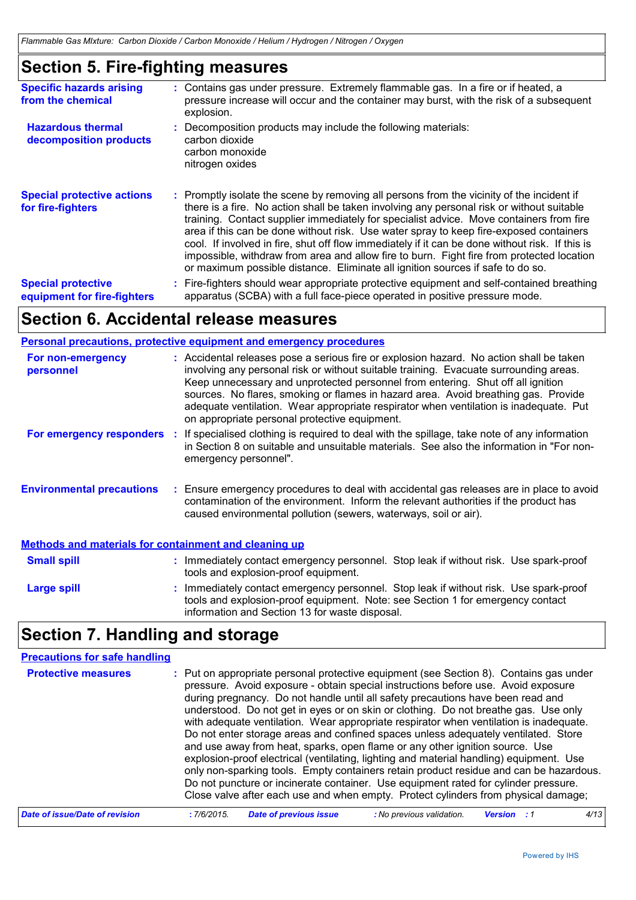## **Section 5. Fire-fighting measures**

| <b>Specific hazards arising</b><br>from the chemical     | : Contains gas under pressure. Extremely flammable gas. In a fire or if heated, a<br>pressure increase will occur and the container may burst, with the risk of a subsequent<br>explosion.                                                                                                                                                                                                                                                                                                                                                                                                                                                                    |
|----------------------------------------------------------|---------------------------------------------------------------------------------------------------------------------------------------------------------------------------------------------------------------------------------------------------------------------------------------------------------------------------------------------------------------------------------------------------------------------------------------------------------------------------------------------------------------------------------------------------------------------------------------------------------------------------------------------------------------|
| <b>Hazardous thermal</b><br>decomposition products       | : Decomposition products may include the following materials:<br>carbon dioxide<br>carbon monoxide<br>nitrogen oxides                                                                                                                                                                                                                                                                                                                                                                                                                                                                                                                                         |
| <b>Special protective actions</b><br>for fire-fighters   | : Promptly isolate the scene by removing all persons from the vicinity of the incident if<br>there is a fire. No action shall be taken involving any personal risk or without suitable<br>training. Contact supplier immediately for specialist advice. Move containers from fire<br>area if this can be done without risk. Use water spray to keep fire-exposed containers<br>cool. If involved in fire, shut off flow immediately if it can be done without risk. If this is<br>impossible, withdraw from area and allow fire to burn. Fight fire from protected location<br>or maximum possible distance. Eliminate all ignition sources if safe to do so. |
| <b>Special protective</b><br>equipment for fire-fighters | : Fire-fighters should wear appropriate protective equipment and self-contained breathing<br>apparatus (SCBA) with a full face-piece operated in positive pressure mode.                                                                                                                                                                                                                                                                                                                                                                                                                                                                                      |

## **Section 6. Accidental release measures**

### **Personal precautions, protective equipment and emergency procedures**

| For non-emergency<br>personnel                               | : Accidental releases pose a serious fire or explosion hazard. No action shall be taken<br>involving any personal risk or without suitable training. Evacuate surrounding areas.<br>Keep unnecessary and unprotected personnel from entering. Shut off all ignition<br>sources. No flares, smoking or flames in hazard area. Avoid breathing gas. Provide<br>adequate ventilation. Wear appropriate respirator when ventilation is inadequate. Put<br>on appropriate personal protective equipment. |  |  |
|--------------------------------------------------------------|-----------------------------------------------------------------------------------------------------------------------------------------------------------------------------------------------------------------------------------------------------------------------------------------------------------------------------------------------------------------------------------------------------------------------------------------------------------------------------------------------------|--|--|
| For emergency responders                                     | : If specialised clothing is required to deal with the spillage, take note of any information<br>in Section 8 on suitable and unsuitable materials. See also the information in "For non-<br>emergency personnel".                                                                                                                                                                                                                                                                                  |  |  |
| <b>Environmental precautions</b>                             | : Ensure emergency procedures to deal with accidental gas releases are in place to avoid<br>contamination of the environment. Inform the relevant authorities if the product has<br>caused environmental pollution (sewers, waterways, soil or air).                                                                                                                                                                                                                                                |  |  |
| <b>Methods and materials for containment and cleaning up</b> |                                                                                                                                                                                                                                                                                                                                                                                                                                                                                                     |  |  |
| <b>Small spill</b>                                           | : Immediately contact emergency personnel. Stop leak if without risk. Use spark-proof<br>tools and explosion-proof equipment.                                                                                                                                                                                                                                                                                                                                                                       |  |  |
| <b>Large spill</b>                                           | Immediately contact emergency personnel. Stop leak if without risk. Use spark-proof<br>tools and explosion-proof equipment. Note: see Section 1 for emergency contact<br>information and Section 13 for waste disposal.                                                                                                                                                                                                                                                                             |  |  |

## **Section 7. Handling and storage**

| <b>Precautions for safe handling</b><br><b>Protective measures</b> | : Put on appropriate personal protective equipment (see Section 8). Contains gas under<br>pressure. Avoid exposure - obtain special instructions before use. Avoid exposure<br>during pregnancy. Do not handle until all safety precautions have been read and<br>understood. Do not get in eyes or on skin or clothing. Do not breathe gas. Use only<br>with adequate ventilation. Wear appropriate respirator when ventilation is inadequate.<br>Do not enter storage areas and confined spaces unless adequately ventilated. Store<br>and use away from heat, sparks, open flame or any other ignition source. Use |  |  |  |  |
|--------------------------------------------------------------------|-----------------------------------------------------------------------------------------------------------------------------------------------------------------------------------------------------------------------------------------------------------------------------------------------------------------------------------------------------------------------------------------------------------------------------------------------------------------------------------------------------------------------------------------------------------------------------------------------------------------------|--|--|--|--|
|                                                                    | explosion-proof electrical (ventilating, lighting and material handling) equipment. Use<br>only non-sparking tools. Empty containers retain product residue and can be hazardous.<br>Do not puncture or incinerate container. Use equipment rated for cylinder pressure.<br>Close valve after each use and when empty. Protect cylinders from physical damage;                                                                                                                                                                                                                                                        |  |  |  |  |
| Date of issue/Date of revision                                     | 4/13<br><b>Date of previous issue</b><br>: No previous validation.<br>:7/6/2015<br>Version                                                                                                                                                                                                                                                                                                                                                                                                                                                                                                                            |  |  |  |  |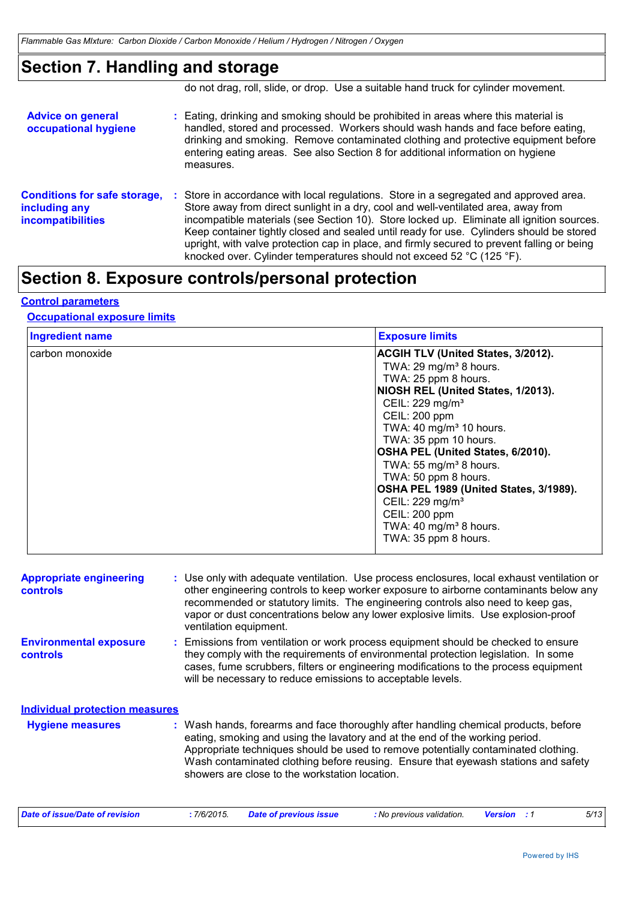## **Section 7. Handling and storage**

do not drag, roll, slide, or drop. Use a suitable hand truck for cylinder movement.

| <b>Advice on general</b><br>occupational hygiene                                 | : Eating, drinking and smoking should be prohibited in areas where this material is<br>handled, stored and processed. Workers should wash hands and face before eating,<br>drinking and smoking. Remove contaminated clothing and protective equipment before<br>entering eating areas. See also Section 8 for additional information on hygiene<br>measures.                                                                                                                                                                               |
|----------------------------------------------------------------------------------|---------------------------------------------------------------------------------------------------------------------------------------------------------------------------------------------------------------------------------------------------------------------------------------------------------------------------------------------------------------------------------------------------------------------------------------------------------------------------------------------------------------------------------------------|
| <b>Conditions for safe storage,</b><br>including any<br><b>incompatibilities</b> | Store in accordance with local regulations. Store in a segregated and approved area.<br>Store away from direct sunlight in a dry, cool and well-ventilated area, away from<br>incompatible materials (see Section 10). Store locked up. Eliminate all ignition sources.<br>Keep container tightly closed and sealed until ready for use. Cylinders should be stored<br>upright, with valve protection cap in place, and firmly secured to prevent falling or being<br>knocked over. Cylinder temperatures should not exceed 52 °C (125 °F). |

## **Section 8. Exposure controls/personal protection**

### **Control parameters**

### **Occupational exposure limits**

| <b>Ingredient name</b><br><b>Exposure limits</b> |                                           |  |
|--------------------------------------------------|-------------------------------------------|--|
| carbon monoxide                                  | <b>ACGIH TLV (United States, 3/2012).</b> |  |
|                                                  | TWA: 29 mg/m <sup>3</sup> 8 hours.        |  |
|                                                  | TWA: 25 ppm 8 hours.                      |  |
|                                                  | NIOSH REL (United States, 1/2013).        |  |
|                                                  | CEIL: 229 mg/m <sup>3</sup>               |  |
|                                                  | CEIL: 200 ppm                             |  |
|                                                  | TWA: 40 mg/m <sup>3</sup> 10 hours.       |  |
|                                                  | TWA: 35 ppm 10 hours.                     |  |
|                                                  | OSHA PEL (United States, 6/2010).         |  |
|                                                  | TWA: 55 mg/m <sup>3</sup> 8 hours.        |  |
|                                                  | TWA: 50 ppm 8 hours.                      |  |
|                                                  | OSHA PEL 1989 (United States, 3/1989).    |  |
|                                                  | CEIL: 229 mg/m <sup>3</sup>               |  |
|                                                  | CEIL: 200 ppm                             |  |
|                                                  | TWA: 40 mg/m <sup>3</sup> 8 hours.        |  |
|                                                  | TWA: 35 ppm 8 hours.                      |  |

| <b>Appropriate engineering</b><br>controls       | : Use only with adequate ventilation. Use process enclosures, local exhaust ventilation or<br>other engineering controls to keep worker exposure to airborne contaminants below any<br>recommended or statutory limits. The engineering controls also need to keep gas,<br>vapor or dust concentrations below any lower explosive limits. Use explosion-proof<br>ventilation equipment.           |
|--------------------------------------------------|---------------------------------------------------------------------------------------------------------------------------------------------------------------------------------------------------------------------------------------------------------------------------------------------------------------------------------------------------------------------------------------------------|
| <b>Environmental exposure</b><br><b>controls</b> | : Emissions from ventilation or work process equipment should be checked to ensure<br>they comply with the requirements of environmental protection legislation. In some<br>cases, fume scrubbers, filters or engineering modifications to the process equipment<br>will be necessary to reduce emissions to acceptable levels.                                                                   |
| <b>Individual protection measures</b>            |                                                                                                                                                                                                                                                                                                                                                                                                   |
| <b>Hygiene measures</b>                          | : Wash hands, forearms and face thoroughly after handling chemical products, before<br>eating, smoking and using the lavatory and at the end of the working period.<br>Appropriate techniques should be used to remove potentially contaminated clothing.<br>Wash contaminated clothing before reusing. Ensure that eyewash stations and safety<br>showers are close to the workstation location. |

| Date of issue/Date of revision | 7/6/2015. | Date of previous issue | : No previous validation. | Version | 5/13 |
|--------------------------------|-----------|------------------------|---------------------------|---------|------|
|                                |           |                        |                           |         |      |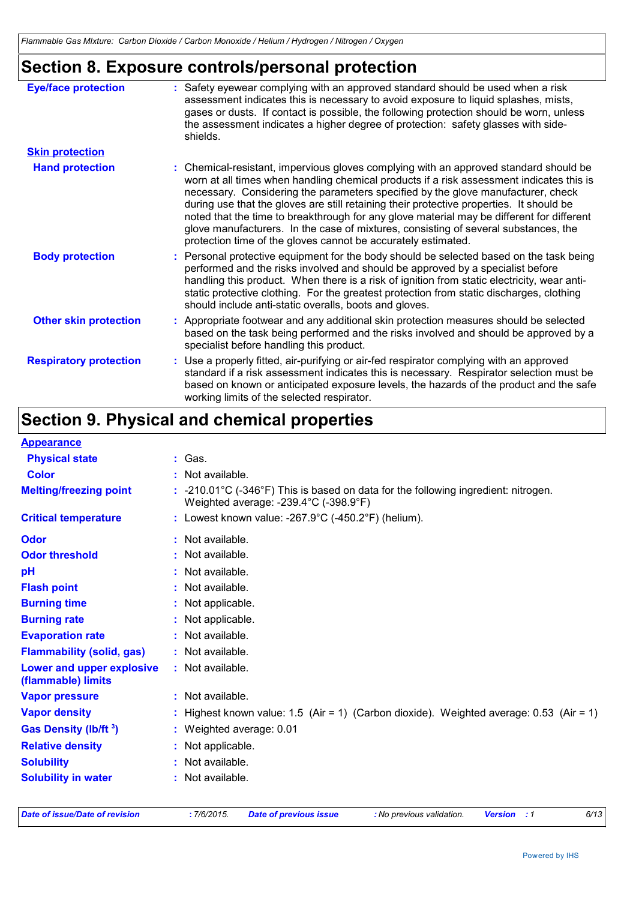## **Section 8. Exposure controls/personal protection**

| <b>Eye/face protection</b>    | : Safety eyewear complying with an approved standard should be used when a risk<br>assessment indicates this is necessary to avoid exposure to liquid splashes, mists,<br>gases or dusts. If contact is possible, the following protection should be worn, unless<br>the assessment indicates a higher degree of protection: safety glasses with side-<br>shields.                                                                                                                                                                                                                                                     |
|-------------------------------|------------------------------------------------------------------------------------------------------------------------------------------------------------------------------------------------------------------------------------------------------------------------------------------------------------------------------------------------------------------------------------------------------------------------------------------------------------------------------------------------------------------------------------------------------------------------------------------------------------------------|
| <b>Skin protection</b>        |                                                                                                                                                                                                                                                                                                                                                                                                                                                                                                                                                                                                                        |
| <b>Hand protection</b>        | : Chemical-resistant, impervious gloves complying with an approved standard should be<br>worn at all times when handling chemical products if a risk assessment indicates this is<br>necessary. Considering the parameters specified by the glove manufacturer, check<br>during use that the gloves are still retaining their protective properties. It should be<br>noted that the time to breakthrough for any glove material may be different for different<br>glove manufacturers. In the case of mixtures, consisting of several substances, the<br>protection time of the gloves cannot be accurately estimated. |
| <b>Body protection</b>        | : Personal protective equipment for the body should be selected based on the task being<br>performed and the risks involved and should be approved by a specialist before<br>handling this product. When there is a risk of ignition from static electricity, wear anti-<br>static protective clothing. For the greatest protection from static discharges, clothing<br>should include anti-static overalls, boots and gloves.                                                                                                                                                                                         |
| <b>Other skin protection</b>  | : Appropriate footwear and any additional skin protection measures should be selected<br>based on the task being performed and the risks involved and should be approved by a<br>specialist before handling this product.                                                                                                                                                                                                                                                                                                                                                                                              |
| <b>Respiratory protection</b> | : Use a properly fitted, air-purifying or air-fed respirator complying with an approved<br>standard if a risk assessment indicates this is necessary. Respirator selection must be<br>based on known or anticipated exposure levels, the hazards of the product and the safe<br>working limits of the selected respirator.                                                                                                                                                                                                                                                                                             |

## **Section 9. Physical and chemical properties**

| <b>Appearance</b>                               |                                                                                                                                                           |
|-------------------------------------------------|-----------------------------------------------------------------------------------------------------------------------------------------------------------|
| <b>Physical state</b>                           | : Gas.                                                                                                                                                    |
| <b>Color</b>                                    | : Not available.                                                                                                                                          |
| <b>Melting/freezing point</b>                   | $: -210.01^{\circ}C$ (-346°F) This is based on data for the following ingredient: nitrogen.<br>Weighted average: $-239.4^{\circ}$ C ( $-398.9^{\circ}$ F) |
| <b>Critical temperature</b>                     | : Lowest known value: -267.9°C (-450.2°F) (helium).                                                                                                       |
| Odor                                            | : Not available.                                                                                                                                          |
| <b>Odor threshold</b>                           | : Not available.                                                                                                                                          |
| pH                                              | Not available.                                                                                                                                            |
| <b>Flash point</b>                              | : Not available.                                                                                                                                          |
| <b>Burning time</b>                             | : Not applicable.                                                                                                                                         |
| <b>Burning rate</b>                             | : Not applicable.                                                                                                                                         |
| <b>Evaporation rate</b>                         | : Not available.                                                                                                                                          |
| <b>Flammability (solid, gas)</b>                | : Not available.                                                                                                                                          |
| Lower and upper explosive<br>(flammable) limits | : Not available.                                                                                                                                          |
| <b>Vapor pressure</b>                           | : Not available.                                                                                                                                          |
| <b>Vapor density</b>                            | Highest known value: 1.5 (Air = 1) (Carbon dioxide). Weighted average: 0.53 (Air = 1)                                                                     |
| <b>Gas Density (Ib/ft 3)</b>                    | : Weighted average: 0.01                                                                                                                                  |
| <b>Relative density</b>                         | : Not applicable.                                                                                                                                         |
| <b>Solubility</b>                               | : Not available.                                                                                                                                          |
| <b>Solubility in water</b>                      | : Not available.                                                                                                                                          |

| Date of issue/Date of revision |
|--------------------------------|
|--------------------------------|

*Date of issue/Date of revision* **:** *7/6/2015. Date of previous issue : No previous validation. Version : 1 6/13*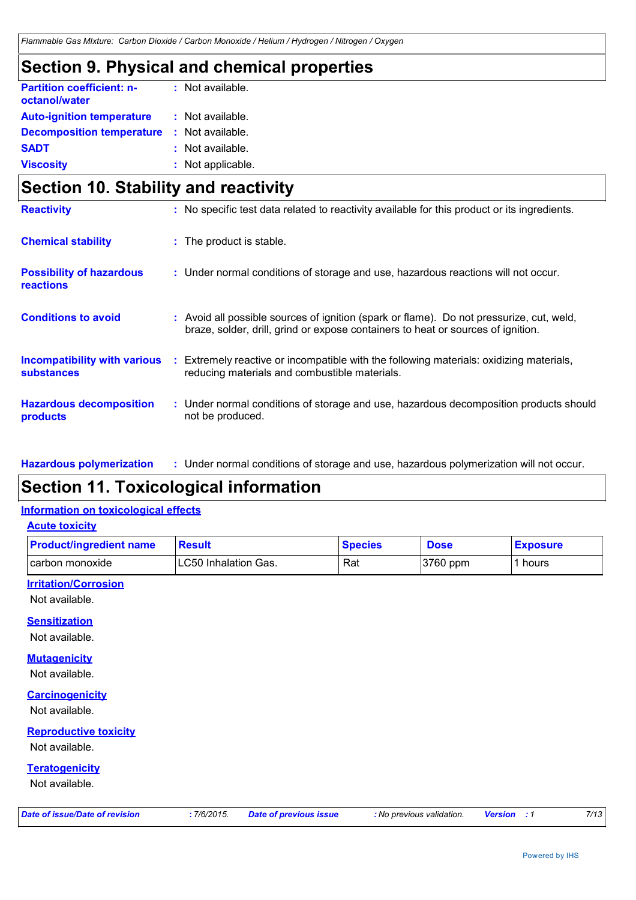## **Section 9. Physical and chemical properties**

| <b>Partition coefficient: n-</b><br>octanol/water | : Not available.  |  |
|---------------------------------------------------|-------------------|--|
| <b>Auto-ignition temperature</b>                  | : Not available.  |  |
| <b>Decomposition temperature</b>                  | : Not available.  |  |
| SADT                                              | : Not available.  |  |
| <b>Viscosity</b>                                  | : Not applicable. |  |

## **Section 10. Stability and reactivity**

| <b>Reactivity</b>                                 |    | : No specific test data related to reactivity available for this product or its ingredients.                                                                                 |
|---------------------------------------------------|----|------------------------------------------------------------------------------------------------------------------------------------------------------------------------------|
| <b>Chemical stability</b>                         |    | : The product is stable.                                                                                                                                                     |
| <b>Possibility of hazardous</b><br>reactions      |    | : Under normal conditions of storage and use, hazardous reactions will not occur.                                                                                            |
| <b>Conditions to avoid</b>                        |    | : Avoid all possible sources of ignition (spark or flame). Do not pressurize, cut, weld,<br>braze, solder, drill, grind or expose containers to heat or sources of ignition. |
| Incompatibility with various<br><b>substances</b> | ÷. | Extremely reactive or incompatible with the following materials: oxidizing materials,<br>reducing materials and combustible materials.                                       |
| <b>Hazardous decomposition</b><br>products        |    | : Under normal conditions of storage and use, hazardous decomposition products should<br>not be produced.                                                                    |

#### Under normal conditions of storage and use, hazardous polymerization will not occur. **: Hazardous polymerization**

## **Section 11. Toxicological information**

#### **Information on toxicological effects**

**Acute toxicity**

| <b>Product/ingredient name</b> | <b>Result</b>         | <b>Species</b> | <b>Dose</b> | <b>Exposure</b> |
|--------------------------------|-----------------------|----------------|-------------|-----------------|
| l carbon monoxide              | ILC50 Inhalation Gas. | Rat            | $3760$ ppm  | hours           |

### **Irritation/Corrosion**

Not available.

### **Sensitization**

Not available.

### **Mutagenicity**

Not available.

#### **Carcinogenicity**

Not available.

### **Reproductive toxicity**

Not available.

### **Teratogenicity**

Not available.

|  |  | Date of issue/Date of revision |  |
|--|--|--------------------------------|--|
|  |  |                                |  |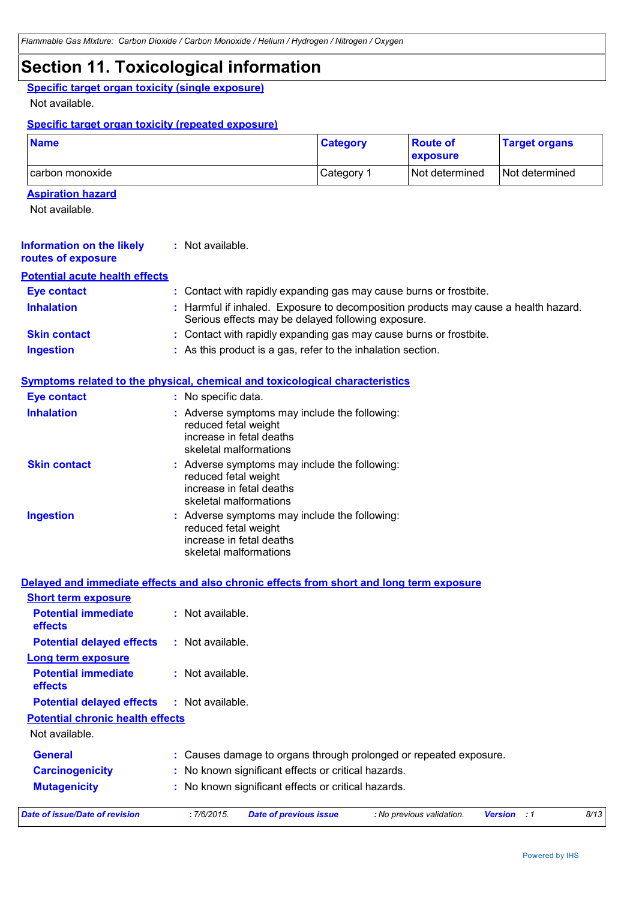## **Section 11. Toxicological information**

### **Specific target organ toxicity (single exposure)**

Not available.

### **Specific target organ toxicity (repeated exposure)**

| <b>Name</b>     | <b>Category</b>       | <b>Route of</b><br><b>exposure</b> | <b>Target organs</b> |
|-----------------|-----------------------|------------------------------------|----------------------|
| carbon monoxide | Category <sup>1</sup> | l Not determined                   | Not determined       |

### **Aspiration hazard**

Not available.

| <b>Information on the likely</b><br>routes of exposure | : Not available.                                                                                                                          |  |  |  |  |
|--------------------------------------------------------|-------------------------------------------------------------------------------------------------------------------------------------------|--|--|--|--|
| <b>Potential acute health effects</b>                  |                                                                                                                                           |  |  |  |  |
| <b>Eye contact</b>                                     | : Contact with rapidly expanding gas may cause burns or frostbite.                                                                        |  |  |  |  |
| <b>Inhalation</b>                                      | : Harmful if inhaled. Exposure to decomposition products may cause a health hazard.<br>Serious effects may be delayed following exposure. |  |  |  |  |
| <b>Skin contact</b>                                    | : Contact with rapidly expanding gas may cause burns or frostbite.                                                                        |  |  |  |  |
| <b>Ingestion</b>                                       | : As this product is a gas, refer to the inhalation section.                                                                              |  |  |  |  |
|                                                        | <b>Symptoms related to the physical, chemical and toxicological characteristics</b>                                                       |  |  |  |  |
| <b>Eye contact</b>                                     | : No specific data.                                                                                                                       |  |  |  |  |
| <b>Inhalation</b>                                      | : Adverse symptoms may include the following:<br>reduced fetal weight<br>increase in fetal deaths<br>skeletal malformations               |  |  |  |  |
| <b>Skin contact</b>                                    | : Adverse symptoms may include the following:<br>reduced fetal weight<br>increase in fetal deaths<br>skeletal malformations               |  |  |  |  |
| <b>Ingestion</b>                                       | : Adverse symptoms may include the following:<br>reduced fetal weight<br>increase in fetal deaths<br>skeletal malformations               |  |  |  |  |
|                                                        | Delayed and immediate effects and also chronic effects from short and long term exposure                                                  |  |  |  |  |
| <b>Short term exposure</b>                             |                                                                                                                                           |  |  |  |  |
| <b>Potential immediate</b><br>effects                  | : Not available.                                                                                                                          |  |  |  |  |
| <b>Potential delayed effects</b>                       | : Not available.                                                                                                                          |  |  |  |  |
| <b>Long term exposure</b>                              |                                                                                                                                           |  |  |  |  |
| <b>Potential immediate</b><br>effects                  | : Not available.                                                                                                                          |  |  |  |  |
| <b>Potential delayed effects</b>                       | : Not available.                                                                                                                          |  |  |  |  |
| <b>Potential chronic health effects</b>                |                                                                                                                                           |  |  |  |  |
| Not available.                                         |                                                                                                                                           |  |  |  |  |
| <b>General</b>                                         | : Causes damage to organs through prolonged or repeated exposure.                                                                         |  |  |  |  |
| <b>Carcinogenicity</b>                                 | : No known significant effects or critical hazards.                                                                                       |  |  |  |  |
| <b>Mutagenicity</b>                                    | : No known significant effects or critical hazards.                                                                                       |  |  |  |  |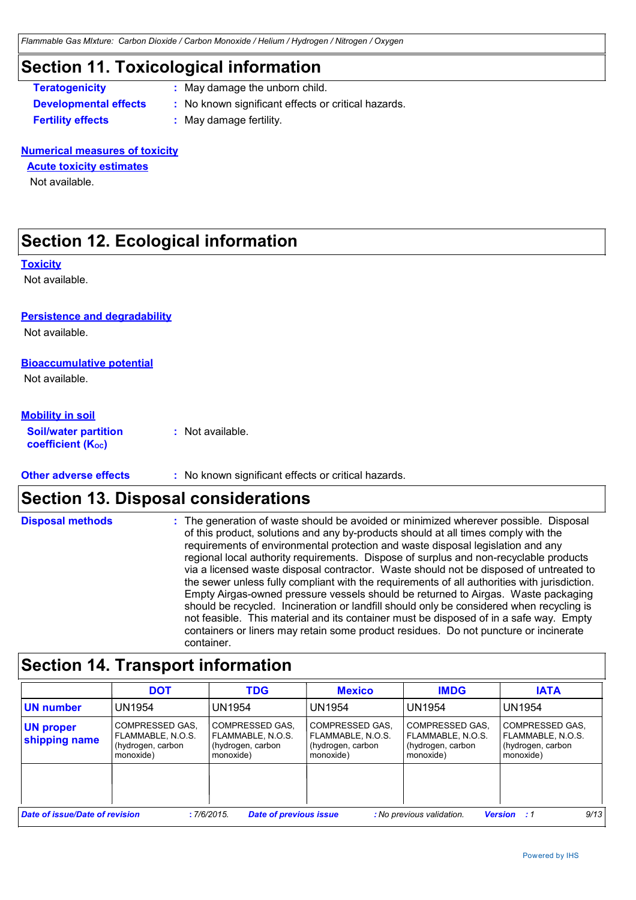## **Section 11. Toxicological information**

- **Teratogenicity :** May damage the unborn child.
- **Developmental effects :** No known significant effects or critical hazards.

**Fertility effects :** May damage fertility.

### **Numerical measures of toxicity**

### **Acute toxicity estimates**

Not available.

## **Section 12. Ecological information**

#### **Toxicity**

Not available.

### **Persistence and degradability**

Not available.

#### **Bioaccumulative potential**

Not available.

#### **Mobility in soil**

**Soil/water partition coefficient (Koc)** 

**:** Not available.

**Other adverse effects** : No known significant effects or critical hazards.

### **Section 13. Disposal considerations**

#### **Disposal methods :**

The generation of waste should be avoided or minimized wherever possible. Disposal of this product, solutions and any by-products should at all times comply with the requirements of environmental protection and waste disposal legislation and any regional local authority requirements. Dispose of surplus and non-recyclable products via a licensed waste disposal contractor. Waste should not be disposed of untreated to the sewer unless fully compliant with the requirements of all authorities with jurisdiction. Empty Airgas-owned pressure vessels should be returned to Airgas. Waste packaging should be recycled. Incineration or landfill should only be considered when recycling is not feasible. This material and its container must be disposed of in a safe way. Empty containers or liners may retain some product residues. Do not puncture or incinerate container.

## **Section 14. Transport information**

|                                       | <b>DOT</b>                                                             | <b>TDG</b>                                                             | <b>Mexico</b>                                                          | <b>IMDG</b>                                                            | <b>IATA</b>                                                            |
|---------------------------------------|------------------------------------------------------------------------|------------------------------------------------------------------------|------------------------------------------------------------------------|------------------------------------------------------------------------|------------------------------------------------------------------------|
| <b>UN number</b>                      | UN1954                                                                 | <b>UN1954</b>                                                          | <b>UN1954</b>                                                          | UN1954                                                                 | UN1954                                                                 |
| <b>UN proper</b><br>shipping name     | COMPRESSED GAS,<br>FLAMMABLE, N.O.S.<br>(hydrogen, carbon<br>monoxide) | COMPRESSED GAS.<br>FLAMMABLE, N.O.S.<br>(hydrogen, carbon<br>monoxide) | COMPRESSED GAS.<br>FLAMMABLE, N.O.S.<br>(hydrogen, carbon<br>monoxide) | COMPRESSED GAS.<br>FLAMMABLE, N.O.S.<br>(hydrogen, carbon<br>monoxide) | COMPRESSED GAS.<br>FLAMMABLE, N.O.S.<br>(hydrogen, carbon<br>monoxide) |
|                                       |                                                                        |                                                                        |                                                                        |                                                                        |                                                                        |
| <b>Date of issue/Date of revision</b> |                                                                        | <b>Date of previous issue</b><br>:7/6/2015                             |                                                                        | : No previous validation.                                              | 9/13<br><b>Version</b><br>. . 1                                        |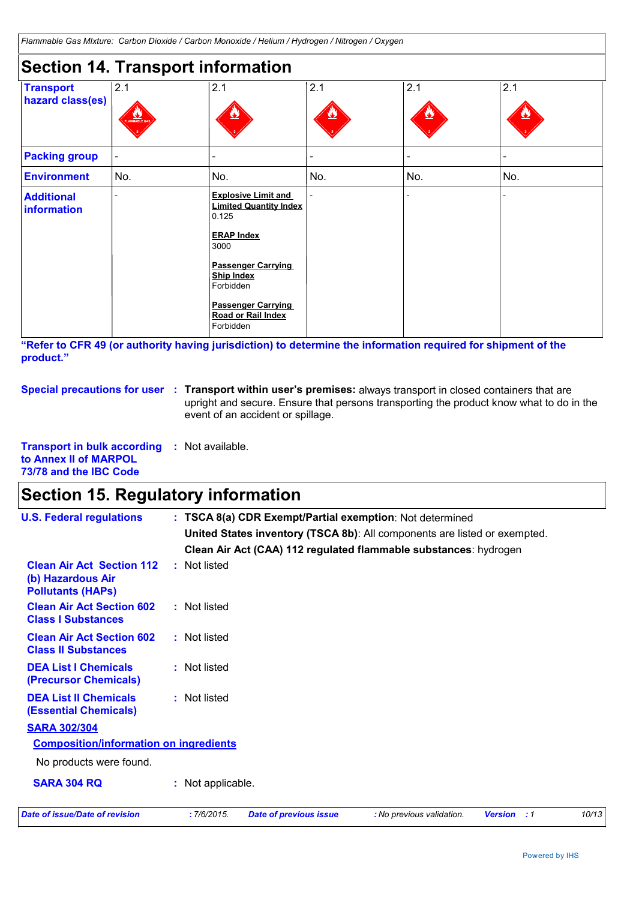## **Section 14. Transport information**

| <b>Transport</b>                        | 2.1                      | 2.1                                                                                               | 2.1            | 2.1     | 2.1 |
|-----------------------------------------|--------------------------|---------------------------------------------------------------------------------------------------|----------------|---------|-----|
| hazard class(es)                        | FLAMMABLE GAS            |                                                                                                   | <u>نځا</u>     | $\bf v$ |     |
| <b>Packing group</b>                    | $\overline{\phantom{a}}$ |                                                                                                   | $\blacksquare$ |         |     |
| <b>Environment</b>                      | No.                      | No.                                                                                               | No.            | No.     | No. |
| <b>Additional</b><br><b>information</b> |                          | <b>Explosive Limit and</b><br><b>Limited Quantity Index</b><br>0.125<br><b>ERAP Index</b><br>3000 |                |         |     |
|                                         |                          | <b>Passenger Carrying</b><br><b>Ship Index</b><br>Forbidden                                       |                |         |     |
|                                         |                          | <b>Passenger Carrying</b><br>Road or Rail Index<br>Forbidden                                      |                |         |     |

**"Refer to CFR 49 (or authority having jurisdiction) to determine the information required for shipment of the product."** 

**Special precautions for user** : Transport within user's premises: always transport in closed containers that are upright and secure. Ensure that persons transporting the product know what to do in the event of an accident or spillage.

**Transport in bulk according :** Not available. **to Annex II of MARPOL 73/78 and the IBC Code**

## **Section 15. Regulatory information**

| <b>U.S. Federal regulations</b>                                                   | : TSCA 8(a) CDR Exempt/Partial exemption: Not determined<br>United States inventory (TSCA 8b): All components are listed or exempted.<br>Clean Air Act (CAA) 112 regulated flammable substances: hydrogen |
|-----------------------------------------------------------------------------------|-----------------------------------------------------------------------------------------------------------------------------------------------------------------------------------------------------------|
| <b>Clean Air Act Section 112</b><br>(b) Hazardous Air<br><b>Pollutants (HAPS)</b> | : Not listed                                                                                                                                                                                              |
| <b>Clean Air Act Section 602</b><br><b>Class I Substances</b>                     | : Not listed                                                                                                                                                                                              |
| <b>Clean Air Act Section 602</b><br><b>Class II Substances</b>                    | : Not listed                                                                                                                                                                                              |
| <b>DEA List I Chemicals</b><br>(Precursor Chemicals)                              | : Not listed                                                                                                                                                                                              |
| <b>DEA List II Chemicals</b><br><b>(Essential Chemicals)</b>                      | : Not listed                                                                                                                                                                                              |
| <b>SARA 302/304</b>                                                               |                                                                                                                                                                                                           |
| <b>Composition/information on ingredients</b>                                     |                                                                                                                                                                                                           |
| No products were found.                                                           |                                                                                                                                                                                                           |
| <b>SARA 304 RQ</b>                                                                | : Not applicable.                                                                                                                                                                                         |
| <b>Date of issue/Date of revision</b>                                             | :7/6/2015.<br>10/13<br><b>Date of previous issue</b><br>: No previous validation.<br><b>Version</b> : 1                                                                                                   |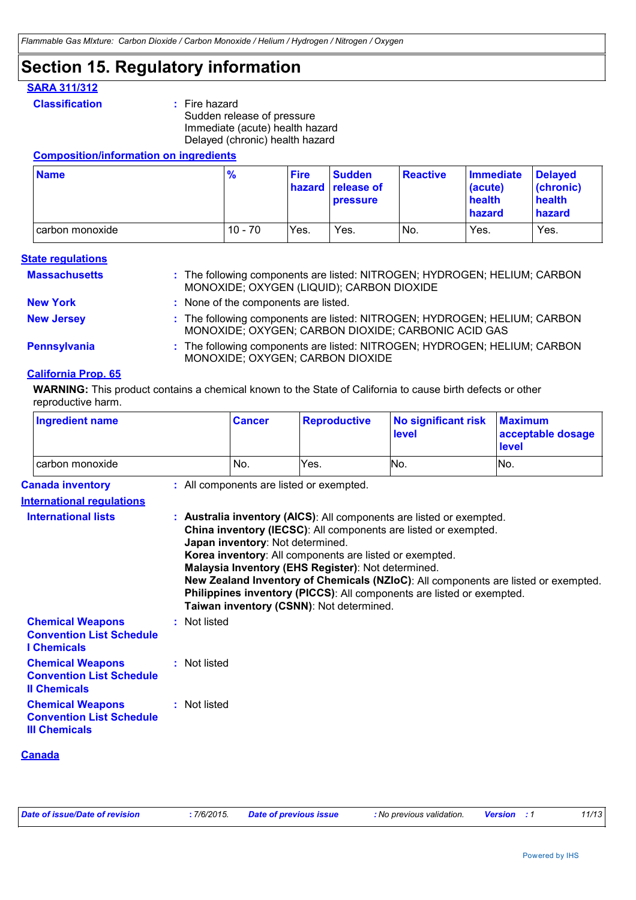## **Section 15. Regulatory information**

### **SARA 311/312**

**Classification :** Fire hazard Sudden release of pressure Immediate (acute) health hazard Delayed (chronic) health hazard

### **Composition/information on ingredients**

| <b>Name</b>       | $\frac{9}{6}$ | <b>Fire</b> | <b>Sudden</b><br><b>hazard</b> release of<br><b>pressure</b> | <b>Reactive</b> | Immediate<br>(acute)<br>health<br>hazard | <b>Delaved</b><br>(chronic)<br>health<br><b>hazard</b> |
|-------------------|---------------|-------------|--------------------------------------------------------------|-----------------|------------------------------------------|--------------------------------------------------------|
| I carbon monoxide | $10 - 70$     | Yes.        | Yes.                                                         | INo.            | Yes.                                     | Yes.                                                   |

#### **State regulations**

| <b>Massachusetts</b> | : The following components are listed: NITROGEN; HYDROGEN; HELIUM; CARBON<br>MONOXIDE; OXYGEN (LIQUID); CARBON DIOXIDE           |
|----------------------|----------------------------------------------------------------------------------------------------------------------------------|
| <b>New York</b>      | : None of the components are listed.                                                                                             |
| <b>New Jersey</b>    | : The following components are listed: NITROGEN; HYDROGEN; HELIUM; CARBON<br>MONOXIDE; OXYGEN; CARBON DIOXIDE; CARBONIC ACID GAS |
| Pennsylvania         | : The following components are listed: NITROGEN; HYDROGEN; HELIUM; CARBON<br>MONOXIDE; OXYGEN; CARBON DIOXIDE                    |
| California Duais, CE |                                                                                                                                  |

### **California Prop. 65**

**WARNING:** This product contains a chemical known to the State of California to cause birth defects or other reproductive harm.

| <b>Ingredient name</b>                                                             |              | <b>Cancer</b>                    | <b>Reproductive</b>                                                                                                                                       | <b>No significant risk</b><br>level                                                                                                                                                                                                                                                                    | <b>Maximum</b><br>acceptable dosage<br>level |  |
|------------------------------------------------------------------------------------|--------------|----------------------------------|-----------------------------------------------------------------------------------------------------------------------------------------------------------|--------------------------------------------------------------------------------------------------------------------------------------------------------------------------------------------------------------------------------------------------------------------------------------------------------|----------------------------------------------|--|
| carbon monoxide                                                                    |              | No.                              | Yes.                                                                                                                                                      | No.                                                                                                                                                                                                                                                                                                    | No.                                          |  |
| <b>Canada inventory</b>                                                            |              |                                  | : All components are listed or exempted.                                                                                                                  |                                                                                                                                                                                                                                                                                                        |                                              |  |
| <b>International requlations</b>                                                   |              |                                  |                                                                                                                                                           |                                                                                                                                                                                                                                                                                                        |                                              |  |
| <b>International lists</b>                                                         |              | Japan inventory: Not determined. | Korea inventory: All components are listed or exempted.<br>Malaysia Inventory (EHS Register): Not determined.<br>Taiwan inventory (CSNN): Not determined. | : Australia inventory (AICS): All components are listed or exempted.<br>China inventory (IECSC): All components are listed or exempted.<br>New Zealand Inventory of Chemicals (NZIoC): All components are listed or exempted.<br>Philippines inventory (PICCS): All components are listed or exempted. |                                              |  |
| <b>Chemical Weapons</b><br><b>Convention List Schedule</b><br><b>I</b> Chemicals   | : Not listed |                                  |                                                                                                                                                           |                                                                                                                                                                                                                                                                                                        |                                              |  |
| <b>Chemical Weapons</b><br><b>Convention List Schedule</b><br><b>Il Chemicals</b>  | : Not listed |                                  |                                                                                                                                                           |                                                                                                                                                                                                                                                                                                        |                                              |  |
| <b>Chemical Weapons</b><br><b>Convention List Schedule</b><br><b>III Chemicals</b> | : Not listed |                                  |                                                                                                                                                           |                                                                                                                                                                                                                                                                                                        |                                              |  |

### **Canada**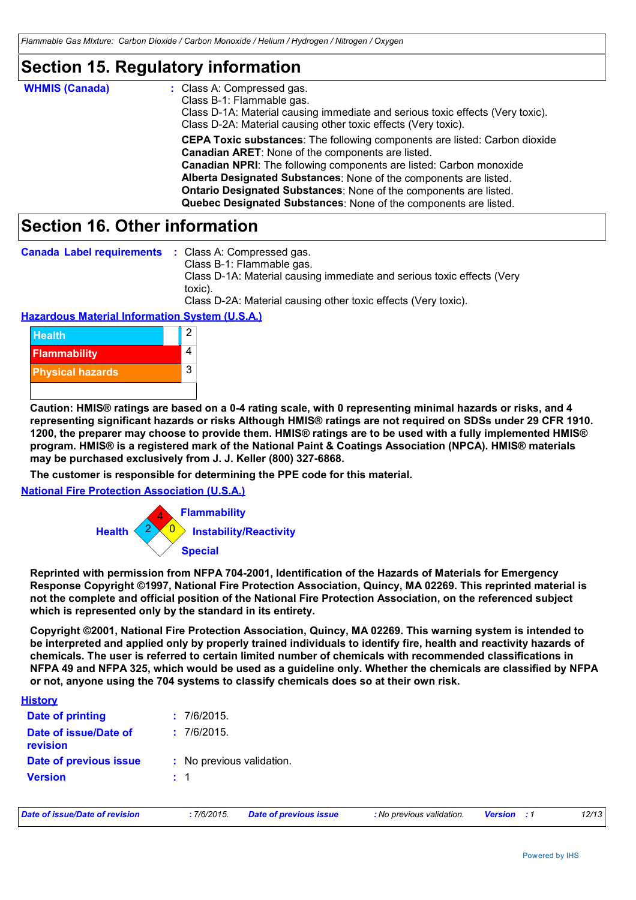## **Section 15. Regulatory information**

| <b>WHMIS (Canada)</b> | : Class A: Compressed gas.<br>Class B-1: Flammable gas.<br>Class D-1A: Material causing immediate and serious toxic effects (Very toxic).<br>Class D-2A: Material causing other toxic effects (Very toxic).                                                                                                                                                                                                                               |
|-----------------------|-------------------------------------------------------------------------------------------------------------------------------------------------------------------------------------------------------------------------------------------------------------------------------------------------------------------------------------------------------------------------------------------------------------------------------------------|
|                       | <b>CEPA Toxic substances:</b> The following components are listed: Carbon dioxide<br><b>Canadian ARET:</b> None of the components are listed.<br><b>Canadian NPRI:</b> The following components are listed: Carbon monoxide<br>Alberta Designated Substances: None of the components are listed.<br>Ontario Designated Substances: None of the components are listed.<br>Quebec Designated Substances: None of the components are listed. |

## **Section 16. Other information**

|  | <b>Canada Label requirements : Class A: Compressed gas.</b> |  |
|--|-------------------------------------------------------------|--|
|--|-------------------------------------------------------------|--|

Class B-1: Flammable gas. Class D-1A: Material causing immediate and serious toxic effects (Very toxic).

Class D-2A: Material causing other toxic effects (Very toxic).

### **Hazardous Material Information System (U.S.A.)**



**Caution: HMIS® ratings are based on a 0-4 rating scale, with 0 representing minimal hazards or risks, and 4 representing significant hazards or risks Although HMIS® ratings are not required on SDSs under 29 CFR 1910. 1200, the preparer may choose to provide them. HMIS® ratings are to be used with a fully implemented HMIS® program. HMIS® is a registered mark of the National Paint & Coatings Association (NPCA). HMIS® materials may be purchased exclusively from J. J. Keller (800) 327-6868.**

**The customer is responsible for determining the PPE code for this material.**

**National Fire Protection Association (U.S.A.)**



**Reprinted with permission from NFPA 704-2001, Identification of the Hazards of Materials for Emergency Response Copyright ©1997, National Fire Protection Association, Quincy, MA 02269. This reprinted material is not the complete and official position of the National Fire Protection Association, on the referenced subject which is represented only by the standard in its entirety.**

**Copyright ©2001, National Fire Protection Association, Quincy, MA 02269. This warning system is intended to be interpreted and applied only by properly trained individuals to identify fire, health and reactivity hazards of chemicals. The user is referred to certain limited number of chemicals with recommended classifications in NFPA 49 and NFPA 325, which would be used as a guideline only. Whether the chemicals are classified by NFPA or not, anyone using the 704 systems to classify chemicals does so at their own risk.**

| <u>History</u>                    |                           |
|-----------------------------------|---------------------------|
| <b>Date of printing</b>           | : 7/6/2015                |
| Date of issue/Date of<br>revision | : 7/6/2015.               |
| Date of previous issue            | : No previous validation. |
| <b>Version</b>                    | $\pm$ 1                   |

| Date of issue/Date of revision | : 7/6/2015. | <b>Date of previous issue</b> | : No previous validation. | <b>Version</b> : 1 | 12/13 |
|--------------------------------|-------------|-------------------------------|---------------------------|--------------------|-------|
|                                |             |                               |                           |                    |       |